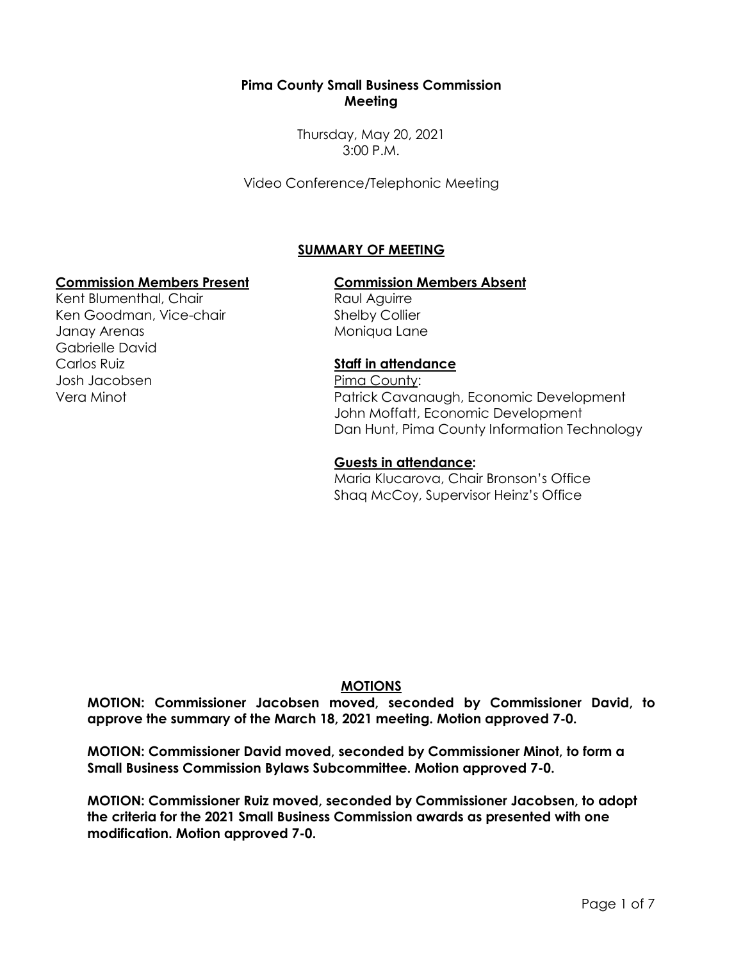#### **Pima County Small Business Commission Meeting**

Thursday, May 20, 2021 3:00 P.M.

Video Conference/Telephonic Meeting

# **SUMMARY OF MEETING**

#### **Commission Members Present Commission Members Absent**

Kent Blumenthal, Chair Ken Goodman, Vice-chair Janay Arenas Gabrielle David Carlos Ruiz Josh Jacobsen Vera Minot

Raul Aguirre Shelby Collier Moniqua Lane

# **Staff in attendance**

Pima County: Patrick Cavanaugh, Economic Development John Moffatt, Economic Development Dan Hunt, Pima County Information Technology

#### **Guests in attendance:**

Maria Klucarova, Chair Bronson's Office Shaq McCoy, Supervisor Heinz's Office

# **MOTIONS**

**MOTION: Commissioner Jacobsen moved, seconded by Commissioner David, to approve the summary of the March 18, 2021 meeting. Motion approved 7-0.**

**MOTION: Commissioner David moved, seconded by Commissioner Minot, to form a Small Business Commission Bylaws Subcommittee. Motion approved 7-0.**

**MOTION: Commissioner Ruiz moved, seconded by Commissioner Jacobsen, to adopt the criteria for the 2021 Small Business Commission awards as presented with one modification. Motion approved 7-0.**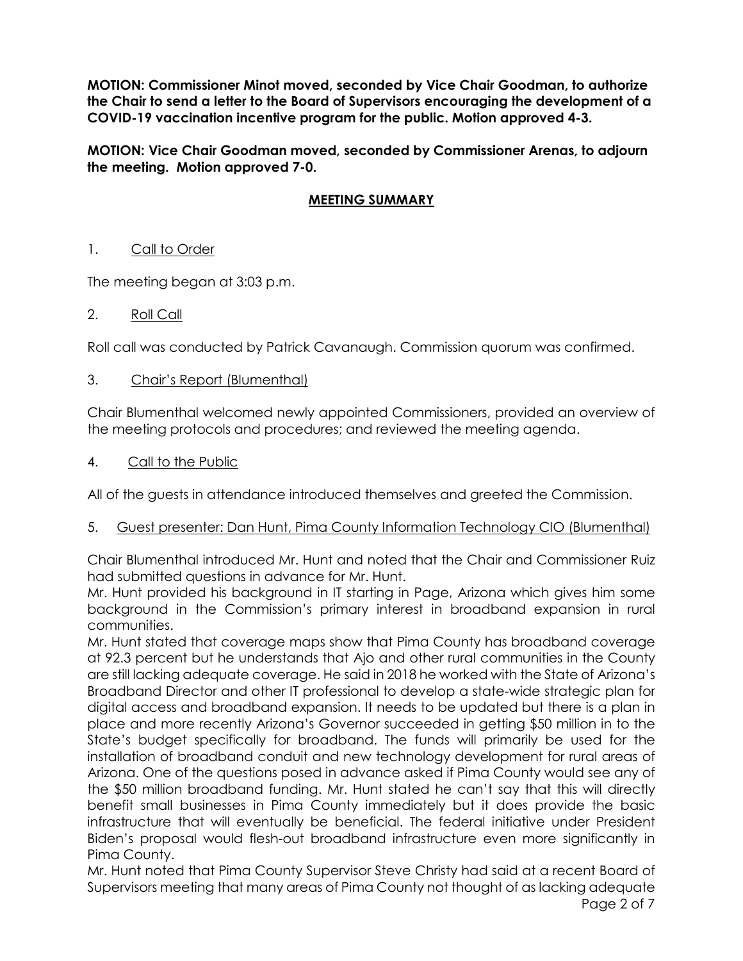**MOTION: Commissioner Minot moved, seconded by Vice Chair Goodman, to authorize the Chair to send a letter to the Board of Supervisors encouraging the development of a COVID-19 vaccination incentive program for the public. Motion approved 4-3.**

**MOTION: Vice Chair Goodman moved, seconded by Commissioner Arenas, to adjourn the meeting. Motion approved 7-0.**

# **MEETING SUMMARY**

## 1. Call to Order

The meeting began at 3:03 p.m.

## 2. Roll Call

Roll call was conducted by Patrick Cavanaugh. Commission quorum was confirmed.

## 3. Chair's Report (Blumenthal)

Chair Blumenthal welcomed newly appointed Commissioners, provided an overview of the meeting protocols and procedures; and reviewed the meeting agenda.

4. Call to the Public

All of the guests in attendance introduced themselves and greeted the Commission.

#### 5. Guest presenter: Dan Hunt, Pima County Information Technology CIO (Blumenthal)

Chair Blumenthal introduced Mr. Hunt and noted that the Chair and Commissioner Ruiz had submitted questions in advance for Mr. Hunt.

Mr. Hunt provided his background in IT starting in Page, Arizona which gives him some background in the Commission's primary interest in broadband expansion in rural communities.

Mr. Hunt stated that coverage maps show that Pima County has broadband coverage at 92.3 percent but he understands that Ajo and other rural communities in the County are still lacking adequate coverage. He said in 2018 he worked with the State of Arizona's Broadband Director and other IT professional to develop a state-wide strategic plan for digital access and broadband expansion. It needs to be updated but there is a plan in place and more recently Arizona's Governor succeeded in getting \$50 million in to the State's budget specifically for broadband. The funds will primarily be used for the installation of broadband conduit and new technology development for rural areas of Arizona. One of the questions posed in advance asked if Pima County would see any of the \$50 million broadband funding. Mr. Hunt stated he can't say that this will directly benefit small businesses in Pima County immediately but it does provide the basic infrastructure that will eventually be beneficial. The federal initiative under President Biden's proposal would flesh-out broadband infrastructure even more significantly in Pima County.

Mr. Hunt noted that Pima County Supervisor Steve Christy had said at a recent Board of Supervisors meeting that many areas of Pima County not thought of as lacking adequate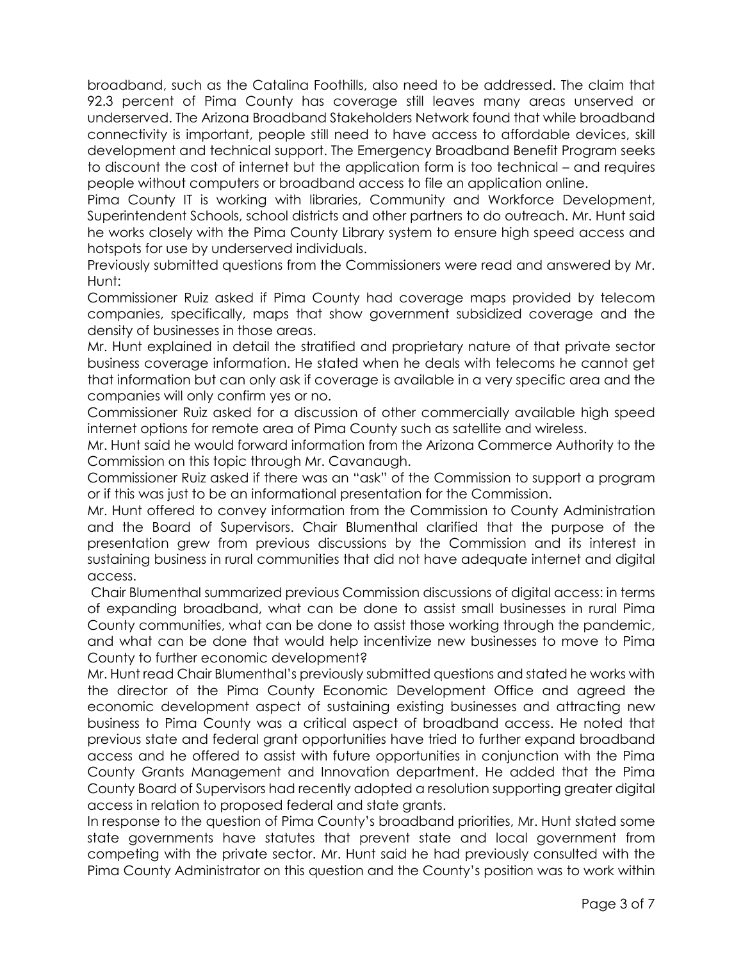broadband, such as the Catalina Foothills, also need to be addressed. The claim that 92.3 percent of Pima County has coverage still leaves many areas unserved or underserved. The Arizona Broadband Stakeholders Network found that while broadband connectivity is important, people still need to have access to affordable devices, skill development and technical support. The Emergency Broadband Benefit Program seeks to discount the cost of internet but the application form is too technical – and requires people without computers or broadband access to file an application online.

Pima County IT is working with libraries, Community and Workforce Development, Superintendent Schools, school districts and other partners to do outreach. Mr. Hunt said he works closely with the Pima County Library system to ensure high speed access and hotspots for use by underserved individuals.

Previously submitted questions from the Commissioners were read and answered by Mr. Hunt:

Commissioner Ruiz asked if Pima County had coverage maps provided by telecom companies, specifically, maps that show government subsidized coverage and the density of businesses in those areas.

Mr. Hunt explained in detail the stratified and proprietary nature of that private sector business coverage information. He stated when he deals with telecoms he cannot get that information but can only ask if coverage is available in a very specific area and the companies will only confirm yes or no.

Commissioner Ruiz asked for a discussion of other commercially available high speed internet options for remote area of Pima County such as satellite and wireless.

Mr. Hunt said he would forward information from the Arizona Commerce Authority to the Commission on this topic through Mr. Cavanaugh.

Commissioner Ruiz asked if there was an "ask" of the Commission to support a program or if this was just to be an informational presentation for the Commission.

Mr. Hunt offered to convey information from the Commission to County Administration and the Board of Supervisors. Chair Blumenthal clarified that the purpose of the presentation grew from previous discussions by the Commission and its interest in sustaining business in rural communities that did not have adequate internet and digital access.

Chair Blumenthal summarized previous Commission discussions of digital access: in terms of expanding broadband, what can be done to assist small businesses in rural Pima County communities, what can be done to assist those working through the pandemic, and what can be done that would help incentivize new businesses to move to Pima County to further economic development?

Mr. Hunt read Chair Blumenthal's previously submitted questions and stated he works with the director of the Pima County Economic Development Office and agreed the economic development aspect of sustaining existing businesses and attracting new business to Pima County was a critical aspect of broadband access. He noted that previous state and federal grant opportunities have tried to further expand broadband access and he offered to assist with future opportunities in conjunction with the Pima County Grants Management and Innovation department. He added that the Pima County Board of Supervisors had recently adopted a resolution supporting greater digital access in relation to proposed federal and state grants.

In response to the question of Pima County's broadband priorities, Mr. Hunt stated some state governments have statutes that prevent state and local government from competing with the private sector. Mr. Hunt said he had previously consulted with the Pima County Administrator on this question and the County's position was to work within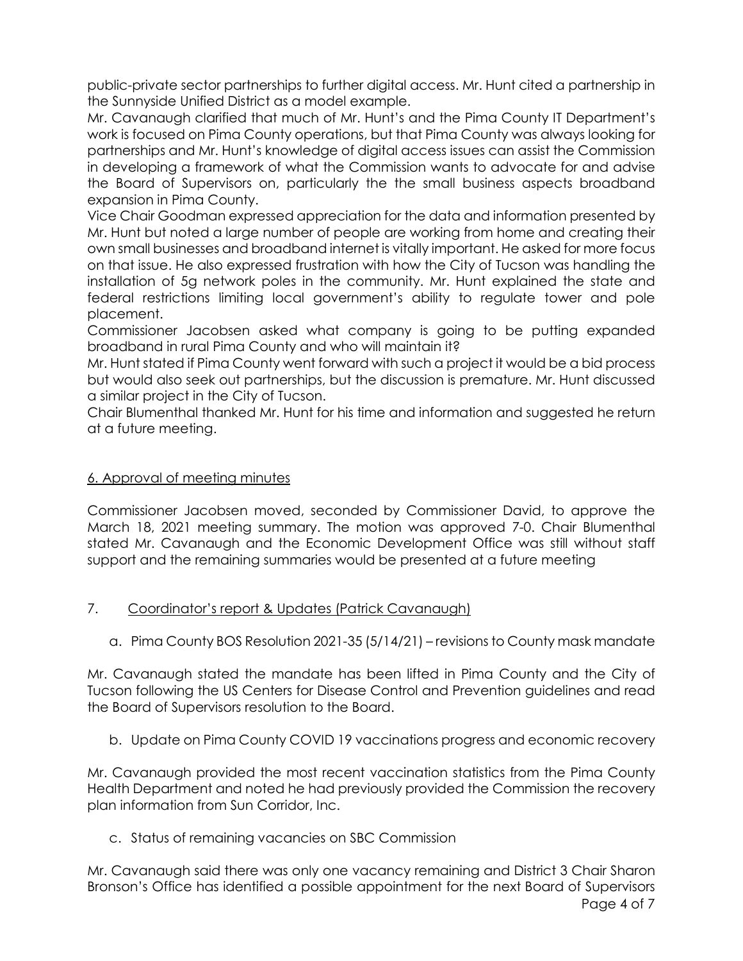public-private sector partnerships to further digital access. Mr. Hunt cited a partnership in the Sunnyside Unified District as a model example.

Mr. Cavanaugh clarified that much of Mr. Hunt's and the Pima County IT Department's work is focused on Pima County operations, but that Pima County was always looking for partnerships and Mr. Hunt's knowledge of digital access issues can assist the Commission in developing a framework of what the Commission wants to advocate for and advise the Board of Supervisors on, particularly the the small business aspects broadband expansion in Pima County.

Vice Chair Goodman expressed appreciation for the data and information presented by Mr. Hunt but noted a large number of people are working from home and creating their own small businesses and broadband internet is vitally important. He asked for more focus on that issue. He also expressed frustration with how the City of Tucson was handling the installation of 5g network poles in the community. Mr. Hunt explained the state and federal restrictions limiting local government's ability to regulate tower and pole placement.

Commissioner Jacobsen asked what company is going to be putting expanded broadband in rural Pima County and who will maintain it?

Mr. Hunt stated if Pima County went forward with such a project it would be a bid process but would also seek out partnerships, but the discussion is premature. Mr. Hunt discussed a similar project in the City of Tucson.

Chair Blumenthal thanked Mr. Hunt for his time and information and suggested he return at a future meeting.

# 6. Approval of meeting minutes

Commissioner Jacobsen moved, seconded by Commissioner David, to approve the March 18, 2021 meeting summary. The motion was approved 7-0. Chair Blumenthal stated Mr. Cavanaugh and the Economic Development Office was still without staff support and the remaining summaries would be presented at a future meeting

# 7. Coordinator's report & Updates (Patrick Cavanaugh)

a. Pima County BOS Resolution 2021-35 (5/14/21) – revisions to County mask mandate

Mr. Cavanaugh stated the mandate has been lifted in Pima County and the City of Tucson following the US Centers for Disease Control and Prevention guidelines and read the Board of Supervisors resolution to the Board.

b. Update on Pima County COVID 19 vaccinations progress and economic recovery

Mr. Cavanaugh provided the most recent vaccination statistics from the Pima County Health Department and noted he had previously provided the Commission the recovery plan information from Sun Corridor, Inc.

c. Status of remaining vacancies on SBC Commission

Page 4 of 7 Mr. Cavanaugh said there was only one vacancy remaining and District 3 Chair Sharon Bronson's Office has identified a possible appointment for the next Board of Supervisors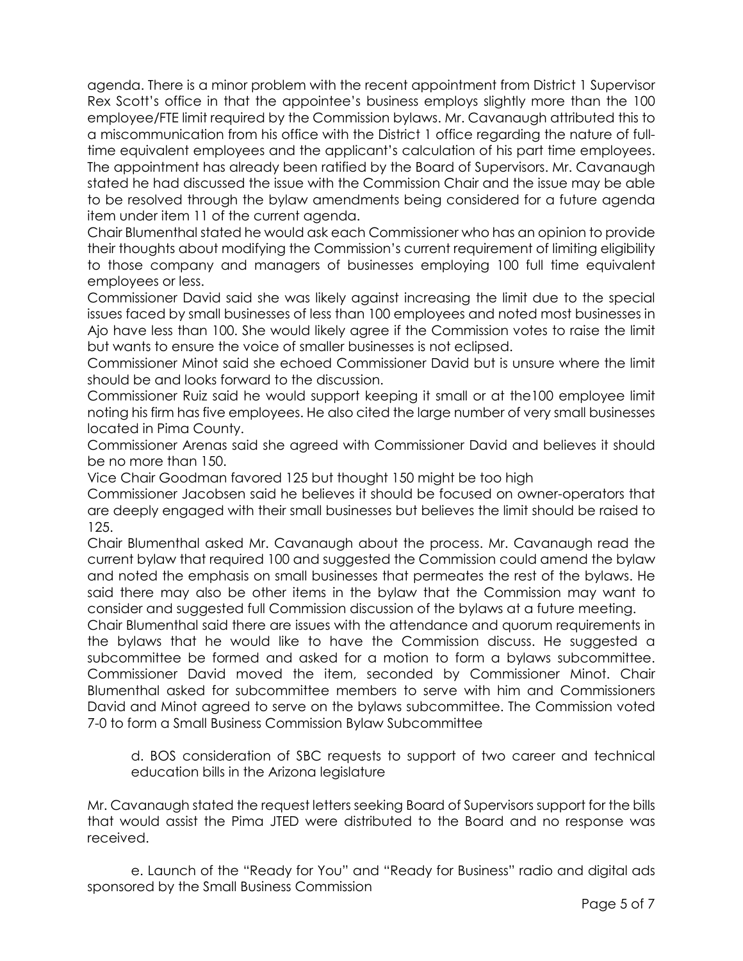agenda. There is a minor problem with the recent appointment from District 1 Supervisor Rex Scott's office in that the appointee's business employs slightly more than the 100 employee/FTE limit required by the Commission bylaws. Mr. Cavanaugh attributed this to a miscommunication from his office with the District 1 office regarding the nature of fulltime equivalent employees and the applicant's calculation of his part time employees. The appointment has already been ratified by the Board of Supervisors. Mr. Cavanaugh stated he had discussed the issue with the Commission Chair and the issue may be able to be resolved through the bylaw amendments being considered for a future agenda item under item 11 of the current agenda.

Chair Blumenthal stated he would ask each Commissioner who has an opinion to provide their thoughts about modifying the Commission's current requirement of limiting eligibility to those company and managers of businesses employing 100 full time equivalent employees or less.

Commissioner David said she was likely against increasing the limit due to the special issues faced by small businesses of less than 100 employees and noted most businesses in Ajo have less than 100. She would likely agree if the Commission votes to raise the limit but wants to ensure the voice of smaller businesses is not eclipsed.

Commissioner Minot said she echoed Commissioner David but is unsure where the limit should be and looks forward to the discussion.

Commissioner Ruiz said he would support keeping it small or at the100 employee limit noting his firm has five employees. He also cited the large number of very small businesses located in Pima County.

Commissioner Arenas said she agreed with Commissioner David and believes it should be no more than 150.

Vice Chair Goodman favored 125 but thought 150 might be too high

Commissioner Jacobsen said he believes it should be focused on owner-operators that are deeply engaged with their small businesses but believes the limit should be raised to 125.

Chair Blumenthal asked Mr. Cavanaugh about the process. Mr. Cavanaugh read the current bylaw that required 100 and suggested the Commission could amend the bylaw and noted the emphasis on small businesses that permeates the rest of the bylaws. He said there may also be other items in the bylaw that the Commission may want to consider and suggested full Commission discussion of the bylaws at a future meeting.

Chair Blumenthal said there are issues with the attendance and quorum requirements in the bylaws that he would like to have the Commission discuss. He suggested a subcommittee be formed and asked for a motion to form a bylaws subcommittee. Commissioner David moved the item, seconded by Commissioner Minot. Chair Blumenthal asked for subcommittee members to serve with him and Commissioners David and Minot agreed to serve on the bylaws subcommittee. The Commission voted 7-0 to form a Small Business Commission Bylaw Subcommittee

d. BOS consideration of SBC requests to support of two career and technical education bills in the Arizona legislature

Mr. Cavanaugh stated the request letters seeking Board of Supervisors support for the bills that would assist the Pima JTED were distributed to the Board and no response was received.

e. Launch of the "Ready for You" and "Ready for Business" radio and digital ads sponsored by the Small Business Commission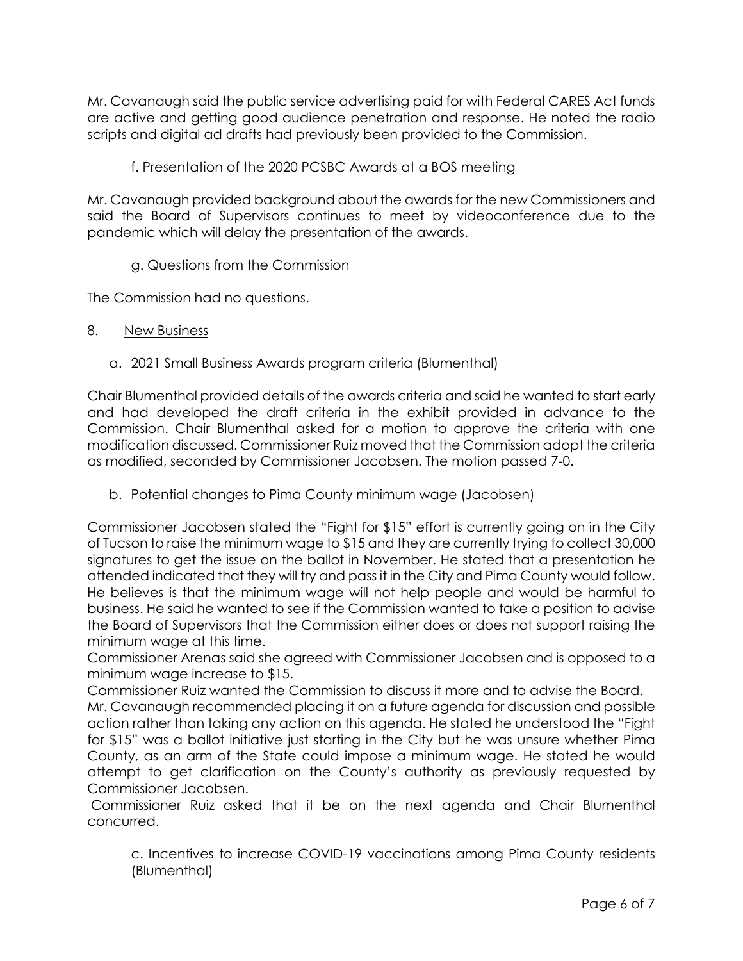Mr. Cavanaugh said the public service advertising paid for with Federal CARES Act funds are active and getting good audience penetration and response. He noted the radio scripts and digital ad drafts had previously been provided to the Commission.

f. Presentation of the 2020 PCSBC Awards at a BOS meeting

Mr. Cavanaugh provided background about the awards for the new Commissioners and said the Board of Supervisors continues to meet by videoconference due to the pandemic which will delay the presentation of the awards.

## g. Questions from the Commission

The Commission had no questions.

- 8. New Business
	- a. 2021 Small Business Awards program criteria (Blumenthal)

Chair Blumenthal provided details of the awards criteria and said he wanted to start early and had developed the draft criteria in the exhibit provided in advance to the Commission. Chair Blumenthal asked for a motion to approve the criteria with one modification discussed. Commissioner Ruiz moved that the Commission adopt the criteria as modified, seconded by Commissioner Jacobsen. The motion passed 7-0.

b. Potential changes to Pima County minimum wage (Jacobsen)

Commissioner Jacobsen stated the "Fight for \$15" effort is currently going on in the City of Tucson to raise the minimum wage to \$15 and they are currently trying to collect 30,000 signatures to get the issue on the ballot in November. He stated that a presentation he attended indicated that they will try and pass it in the City and Pima County would follow. He believes is that the minimum wage will not help people and would be harmful to business. He said he wanted to see if the Commission wanted to take a position to advise the Board of Supervisors that the Commission either does or does not support raising the minimum wage at this time.

Commissioner Arenas said she agreed with Commissioner Jacobsen and is opposed to a minimum wage increase to \$15.

Commissioner Ruiz wanted the Commission to discuss it more and to advise the Board.

Mr. Cavanaugh recommended placing it on a future agenda for discussion and possible action rather than taking any action on this agenda. He stated he understood the "Fight for \$15" was a ballot initiative just starting in the City but he was unsure whether Pima County, as an arm of the State could impose a minimum wage. He stated he would attempt to get clarification on the County's authority as previously requested by Commissioner Jacobsen.

Commissioner Ruiz asked that it be on the next agenda and Chair Blumenthal concurred.

c. Incentives to increase COVID-19 vaccinations among Pima County residents (Blumenthal)